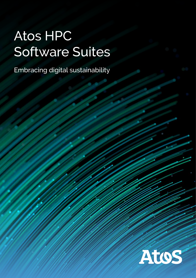# Atos HPC Software Suites

Embracing digital sustainability

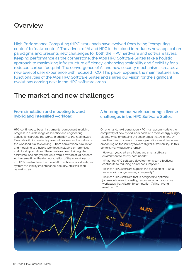# **Overview**

High Performance Computing (HPC) workloads have evolved from being "computingcentric" to "data-centric." The advent of AI and HPC in the cloud introduces new application paradigms and presents new challenges for both the HPC hardware and software layers. Keeping performance as the cornerstone, the Atos HPC Software Suites take a holistic approach to maximizing infrastructure efficiency, enhancing scalability and flexibility for a reduced carbon footprint. The convergence of AI and new security mechanisms creates a new level of user experience with reduced TCO. This paper explains the main features and functionalities of the Atos HPC Software Suites and shares our vision for the significant evolutions coming next in the HPC software arena.

# **The market and new challenges**

## **From simulation and modeling toward hybrid and intensified workload**

HPC continues to be an instrumental component in driving progress in a wide range of scientific and engineering applications around the world. In addition to the race toward Exascale with increasingly powerful processors, the nature of the workload is also evolving — from conventional simulation and modeling to a hybrid workload, including on-premises and cloud applications. There is also a need to integrate, assimilate, and analyze the data from a myriad of IoT sensors. At the same time, the democratization of the AI workload on an HPC infrastructure, the use of AI to enhance workloads, and system availability (maintenance, security, etc.) will soon be mainstream

### **A heterogeneous workload brings diverse challenges in the HPC Software Suites**

On one hand, next generation HPC must accommodate the complexity of new hybrid workloads with more energy hungry blades, while embracing the advantages that AI offers. On the other hand, more and more organizations worldwide are embarking on the journey toward digital sustainability. In this context, many questions remain:

- How can you craft an efficient and smart software environment to satisfy both needs?
- What new HPC software developments can effectively contribute to reducing power consumption?
- How can HPC software support the evolution of "x-as-aservice" without generating complexity?
- How can HPC software that is designed to optimize job execution avoid wasting resources on unproductive workloads that will run to completion (failing, wrong result, etc.)?

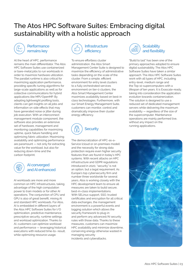# **The Atos HPC Software Suites: Embracing digital sustainability with a holistic approach**



## **Performance remains key**

At the heart of HPC, performance remains the main differentiator. The Atos HPC Software Suites use containerized or bare-metal jobs to run workloads in order to maximize hardware utilization. The parallel runtime is also critical for maximizing application performance, providing specific tuning algorithms for large-scale applications as well as for collective communications for hybrid applications like MPI/OpenMP. By adopting lightweight profiling tools, clients can get insights on all jobs and information on side effects that may have generated noise or jitter during job execution. With an interconnect management module component, the software also provides an extensive set of hardware, management and monitoring capabilities for maximizing uptime, quick failure handling and optimizing fabric utilization. Maximizing availability and optimizing performance are paramount — not only for extracting value for the workload, but also for reducing down-time and the carbon footprint.



#### **AI converged and AI enhanced**

AI workloads are more and more common on HPC infrastructures, taking advantage of the high computation power to train models or for other AI operations. The conjunction of CPU and GPU is also of great benefit, mixing AI and standard HPC workloads. For Atos, AI is embedded in different layers of the Atos HPC Software Suites for I/O optimization, predictive maintenance, prescriptive security, runtime settings and workload optimization. Thanks to AI, customers can optimize workload and performance — leveraging historical executions with reduced time-to- result, while optimizing resource usage.



To ensure effortless cluster administration, the Atos Smart Management Center Suite is designed to maximize the efficiency of administrative tasks depending on the scale of the cluster. From a simple, efficient environment for entry level clusters to a fully orchestrated services environment on tier-0 clusters, the Atos Smart Management Center maximizes availability based on best-in class technologies. Furthermore, with our Smart Energy Management Suite, customers can monitor, control and dramatically improve their cluster energy efficiency.



The democratization of HPC-as-a-Service (cloud or on-premises model) and the necessity for strong data protection require even higher security features than are found in today's HPC systems. With recent attacks on HPC infrastructure and GDPR regulations introduced in 2020, "security" is not an option, but a legal requirement. As Europe's top cybersecurity firm and number three worldwide for several years, Atos is working closely with the HPC development team to ensure all measures are taken to build secure, best-in-class implementations. With SELinux support, SSO, trusted certificates and encryption for all critical data exchanges, the management environment is a powerful events and logging solution which allows the security framework to plug-in and perform any advanced/AI security rules with those data. Thanks to these measures, customers can maximize HPC availability and minimize downtime, conserving energy otherwise wasted in managing security incidents and cyberattacks.



"Build to last" has been one of the primary approaches adopted to ensure digital sustainability. The Atos HPC Software Suites have taken a similar approach. The Atos HPC Software Suites work with all types of HPC, including entry-level, medium range and the Top 10 supercomputers with a lifespan of ten years. It is Exascale-ready, taking into consideration the application evolution towards containerization. The solution is designed to use a reduced set of dedicated management servers while delivering the maximum availability — regardless of the size of the supercomputer. Maintenance operations are mainly performed live, without any impact on the running applications.

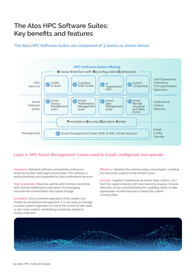# **The Atos HPC Software Suites: Key benefits and features**

**The Atos HPC Software Suites are composed of 3 stacks as shown below**



## **Layer A: HPC Smart Management Center used to install, configurate and operate**

**Openness:** Standard software components embrace a broad ecosystem with large communities. The software is productionready and supported by Atos professional services.

**High availability:** Maximize uptime and minimize downtime even during maintenance operations, by leveraging microservice orchestration and shared storage.

**Scalability:** Easy to extend regardless of the cluster size. Thanks to centralized management, it is very easy to manage a unique system regardless of size of the system (a 10k-node or 100-node system), eliminating complexity related to cluster extension.

**Efficiency:** Optimize the overall energy consumption, avoiding any resources wasted on the infrastructure.

**Security:** Capable of gathering all events (logs, metrics, etc.) from the supercomputer with near real-time analysis. Ensures detection of any unwanted behavior, enabling clients to take appropriate countermeasures to keep the system running safely.

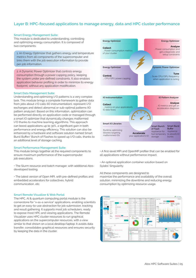## **Layer B: HPC-focused applications to manage energy, data and HPC cluster performance**

#### **Smart Energy Management Suite:**

This module is dedicated to understanding, controlling and optimizing energy consumption. It is composed of two components:

1. An Energy Optimizer that gathers energy and temperature metrics from all components of the supercomputer and links them with the job execution information to provide per-job information.

2. A Dynamic Power Optimizer that controls energy consumption through a power capping policy, keeping the system under pre-defined constraints. It also enables application behavior profiling in order to minimize its energy footprint, without any application modification.

#### **Smart Data Management Suite:**

Understanding and optimizing I/O patterns is a very complex task. This module brings a complete framework to gather data from jobs about I/O calls (IO instrumentation), represent I/O exchanges and detect abnormal or sub-optimal patterns (IO pattern analyzer). Based on this information, optimization can be performed directly on application code or managed through a smart IO optimizer that dynamically changes malformed I/O thanks to machine learning algorithms. This approach can boost applications up to 30%, a significant gain in both performance and energy efficiency. This solution can also be enhanced by a hardware and software solution named Smart Burst Buffer/ Bunch of Flashes to speed up I/O calls, thanks to an additional level of storage caching.

#### **Smart Performance Management Suite:**

This module brings together all the required components to ensure maximum performance of the supercomputer job executions.

• The Slurm resource and batch manager, with additional Atosdeveloped tooling.

• The latest version of Open MPI, with pre-defined profiles and embedded accelerators for collectives, hybrid communication, etc.

#### **Smart Remote Visualizer & Web Portal:**

The HPC, AI & quantum computing portal module is the cornerstone for "x-as-a service" applications, enabling scientists to get an easy-to-use abstraction for job submission, tracking and result gathering. It supports most job schedulers, ready to expose most HPC and viewing applications. The Remote Visualizer uses HPC cluster resources to run graphical applications on the supercomputer resources, with a view similar to that shown on a local desktop/laptop. It avoids data transfer, consolidates graphical resources and ensures security by keeping the data in the cluster.



Smart IO Libraries Runtime optimizing libraries targeting malformmed IOs **Accelerate** your application's IO

Smart Bunch of Flash Appliance for fast temporary storage Smart Burst Buffer Appliance to absorb IO bursts

• A first-level MPI and OpenMP profiler that can be enabled for all applications without performance impact.

• An optional application container solution based on Sylabs' Singularity.

All these components are designed to maximize the performance and availability of the overall solution, minimizing the downtime and reducing energy consumption by optimizing resource usage.

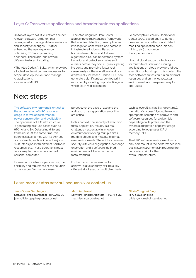## **Layer C: Transverse applications and broader business applications**

On top of layers A & B, clients can select relevant software "adds-on" that leverages AI to manage data assimilation and security challenges — further enhancing the user experience, optimizing TCO and promoting openness. These add-ons provide different features, including:

• The Atos Codex AI Suite, which provides a toolset and environment necessary to scope, develop, roll-out and manage AI applications

- especially ML/DL.

# **Next steps**

**The software environment is critical to the optimization of HPC resource usage in terms of performance, power consumption and availability.**  The openness of HPC infrastructure

is generating new use cases such as HPC, AI and Big Data using different frameworks. At the same time, this openness also comes with its own set of constraints, such as interactive jobs, multi-steps jobs with different hardware resources, etc. These operations must be as easy to run as on a standard personal computer.

From an administrative perspective, the flexibility and robustness of the solution is mandatory. From an end-user

• The Atos Cognitive Data Center (CDC), a prescriptive maintenance framework that enables detection, prescription and investigation of hardware and software infrastructure incidents. Based on historical executions and AI-based algorithms, CDC can understand system behavior and detect anomalies and outliers before they occur. By anticipating incidents and providing faster root cause analysis, the overall availability is dramatically increased. Hence, CDC can generate a significant carbon footprint reduction by avoiding unproductive jobs which fail in mid-execution.

• A prescriptive Security Operational Center (SOC) based on AI to detect unknown attack patterns and detect modified application code (hidden mining, etc.) that run on the supercomputer.

• Hybrid cloud support, which allows for multisite clusters and running applications on cloud providers (direct execution or bursting). In this context, the Atos software suites can run on external resources and on the local cluster environment in a transparent way for end-users.

perspective, the ease of use and the ability to run an application smoothly are critical.

In this context, the security of execution (data, application, results) is a real challenge - especially in an open environment involving multiple sites, multiple clouds and multiple external user environments. The ability to ensure security with data segregation, exchange encryption and a software-defined environment will become the de facto standard.

Furthermore, the imperative to achieve "digital sobriety" will be a key differentiator based on multiple criteria such as overall availability (downtime), the ratio of successful jobs, the most appropriate selection of hardware and software resources for a given job depending on its profile, and the dynamic adaptation of power usage according to job phases (CPU, memory, I/O).

The HPC software environment is not only paramount in the performance race, but is also instrumental in reducing the carbon footprint for the overall infrastructure.

#### **Learn more at atos.net/bullsequana-x or contact us**

#### **Jean-Olivier Gerphagnon**

**Software Principal Architect - HPC, AI & QC** jean-olivier.gerphagnon@atos.net

**Matthieu Isoard Software Principal Architect - HPC, AI & QC** matthieu.isoard@atos.net

**Olivia-Yongmei Ding HPC & QC Marketing** olivia-yongmei.ding@atos.net